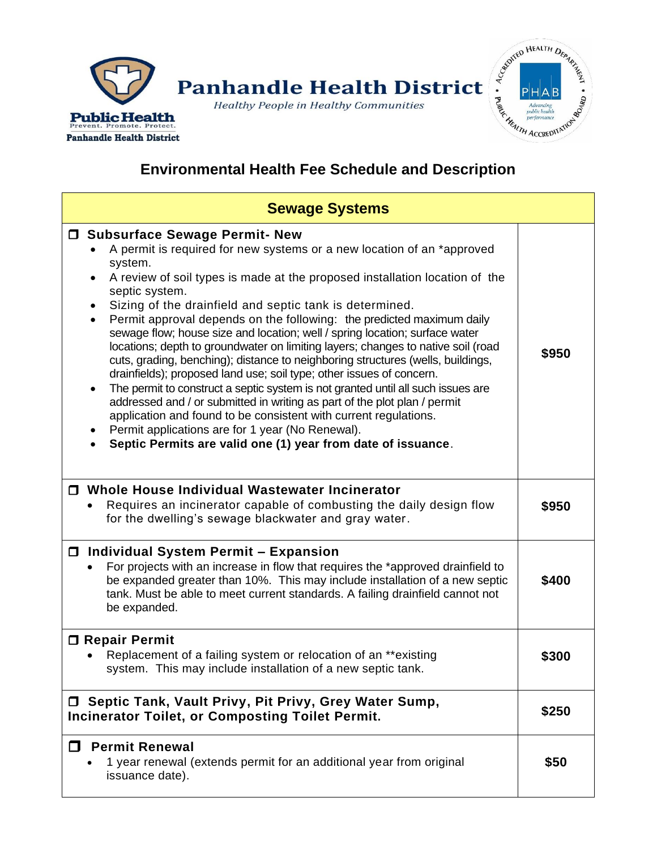



## **Environmental Health Fee Schedule and Description**

| <b>Sewage Systems</b>                                                                                                                                                                                                                                                                                                                                                                                                                                                                                                                                                                                                                                                                                                                                                                                                                                                                                                                                                                                                                                                                                |       |  |
|------------------------------------------------------------------------------------------------------------------------------------------------------------------------------------------------------------------------------------------------------------------------------------------------------------------------------------------------------------------------------------------------------------------------------------------------------------------------------------------------------------------------------------------------------------------------------------------------------------------------------------------------------------------------------------------------------------------------------------------------------------------------------------------------------------------------------------------------------------------------------------------------------------------------------------------------------------------------------------------------------------------------------------------------------------------------------------------------------|-------|--|
| □ Subsurface Sewage Permit- New<br>A permit is required for new systems or a new location of an *approved<br>system.<br>A review of soil types is made at the proposed installation location of the<br>septic system.<br>Sizing of the drainfield and septic tank is determined.<br>$\bullet$<br>Permit approval depends on the following: the predicted maximum daily<br>$\bullet$<br>sewage flow; house size and location; well / spring location; surface water<br>locations; depth to groundwater on limiting layers; changes to native soil (road<br>cuts, grading, benching); distance to neighboring structures (wells, buildings,<br>drainfields); proposed land use; soil type; other issues of concern.<br>The permit to construct a septic system is not granted until all such issues are<br>$\bullet$<br>addressed and / or submitted in writing as part of the plot plan / permit<br>application and found to be consistent with current regulations.<br>Permit applications are for 1 year (No Renewal).<br>$\bullet$<br>Septic Permits are valid one (1) year from date of issuance. | \$950 |  |
| □ Whole House Individual Wastewater Incinerator<br>Requires an incinerator capable of combusting the daily design flow<br>for the dwelling's sewage blackwater and gray water.                                                                                                                                                                                                                                                                                                                                                                                                                                                                                                                                                                                                                                                                                                                                                                                                                                                                                                                       | \$950 |  |
| □ Individual System Permit – Expansion<br>For projects with an increase in flow that requires the *approved drainfield to<br>be expanded greater than 10%. This may include installation of a new septic<br>tank. Must be able to meet current standards. A failing drainfield cannot not<br>be expanded.                                                                                                                                                                                                                                                                                                                                                                                                                                                                                                                                                                                                                                                                                                                                                                                            | \$400 |  |
| □ Repair Permit<br>Replacement of a failing system or relocation of an **existing<br>system. This may include installation of a new septic tank.                                                                                                                                                                                                                                                                                                                                                                                                                                                                                                                                                                                                                                                                                                                                                                                                                                                                                                                                                     | \$300 |  |
| □ Septic Tank, Vault Privy, Pit Privy, Grey Water Sump,<br><b>Incinerator Toilet, or Composting Toilet Permit.</b>                                                                                                                                                                                                                                                                                                                                                                                                                                                                                                                                                                                                                                                                                                                                                                                                                                                                                                                                                                                   | \$250 |  |
| <b>Permit Renewal</b><br>П<br>1 year renewal (extends permit for an additional year from original<br>issuance date).                                                                                                                                                                                                                                                                                                                                                                                                                                                                                                                                                                                                                                                                                                                                                                                                                                                                                                                                                                                 | \$50  |  |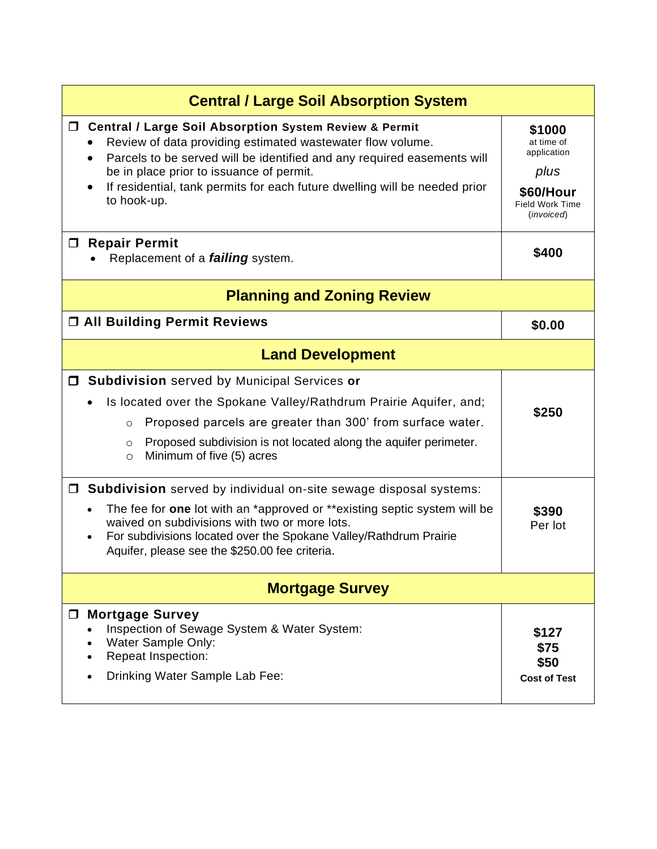| <b>Central / Large Soil Absorption System</b>                                                                                                                                                                                                                                                                                                                                           |                                                                                           |  |
|-----------------------------------------------------------------------------------------------------------------------------------------------------------------------------------------------------------------------------------------------------------------------------------------------------------------------------------------------------------------------------------------|-------------------------------------------------------------------------------------------|--|
| <b>Central / Large Soil Absorption System Review &amp; Permit</b><br>$\Box$<br>Review of data providing estimated wastewater flow volume.<br>Parcels to be served will be identified and any required easements will<br>$\bullet$<br>be in place prior to issuance of permit.<br>If residential, tank permits for each future dwelling will be needed prior<br>$\bullet$<br>to hook-up. | \$1000<br>at time of<br>application<br>plus<br>\$60/Hour<br>Field Work Time<br>(invoiced) |  |
| □ Repair Permit<br>Replacement of a <i>failing</i> system.                                                                                                                                                                                                                                                                                                                              | \$400                                                                                     |  |
| <b>Planning and Zoning Review</b>                                                                                                                                                                                                                                                                                                                                                       |                                                                                           |  |
| <b>D All Building Permit Reviews</b>                                                                                                                                                                                                                                                                                                                                                    | \$0.00                                                                                    |  |
| <b>Land Development</b>                                                                                                                                                                                                                                                                                                                                                                 |                                                                                           |  |
| <b>J Subdivision</b> served by Municipal Services or<br>Is located over the Spokane Valley/Rathdrum Prairie Aquifer, and;<br>Proposed parcels are greater than 300' from surface water.<br>$\circ$<br>Proposed subdivision is not located along the aquifer perimeter.<br>$\circ$<br>Minimum of five (5) acres<br>$\circ$                                                               | \$250                                                                                     |  |
| $\Box$ Subdivision served by individual on-site sewage disposal systems:<br>The fee for one lot with an *approved or **existing septic system will be<br>$\bullet$<br>waived on subdivisions with two or more lots.<br>For subdivisions located over the Spokane Valley/Rathdrum Prairie<br>$\bullet$<br>Aquifer, please see the \$250.00 fee criteria.                                 | \$390<br>Per lot                                                                          |  |
| <b>Mortgage Survey</b>                                                                                                                                                                                                                                                                                                                                                                  |                                                                                           |  |
| <b>Mortgage Survey</b><br>$\Box$<br>Inspection of Sewage System & Water System:<br>Water Sample Only:<br><b>Repeat Inspection:</b><br>Drinking Water Sample Lab Fee:                                                                                                                                                                                                                    | \$127<br>\$75<br>\$50<br><b>Cost of Test</b>                                              |  |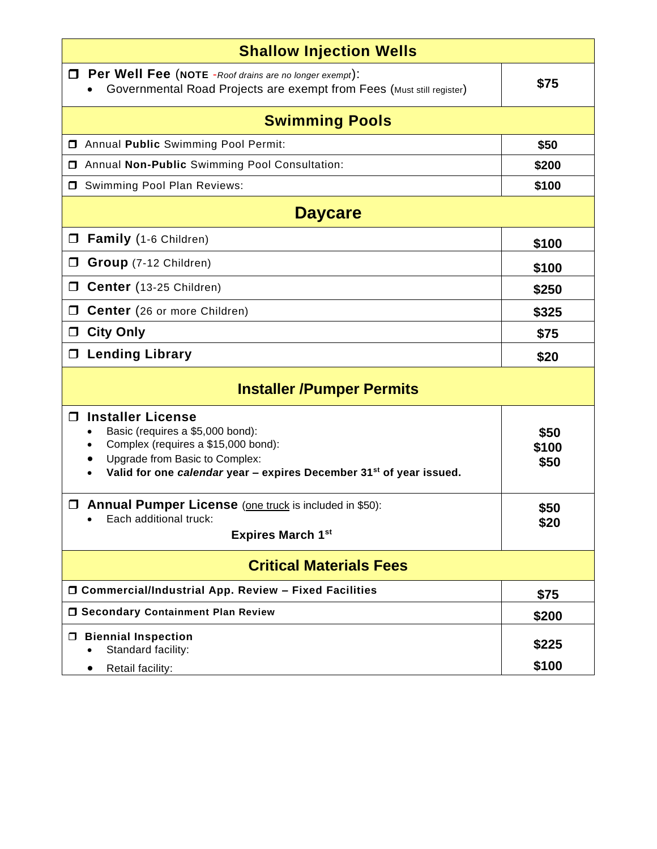| <b>Shallow Injection Wells</b>                                                                                                                                                                                                                                                                                                                            |                                       |  |
|-----------------------------------------------------------------------------------------------------------------------------------------------------------------------------------------------------------------------------------------------------------------------------------------------------------------------------------------------------------|---------------------------------------|--|
| $\Box$ Per Well Fee (NOTE - Roof drains are no longer exempt):<br>Governmental Road Projects are exempt from Fees (Must still register)                                                                                                                                                                                                                   | \$75                                  |  |
| <b>Swimming Pools</b>                                                                                                                                                                                                                                                                                                                                     |                                       |  |
| Annual Public Swimming Pool Permit:                                                                                                                                                                                                                                                                                                                       | \$50                                  |  |
| <b>I</b> Annual Non-Public Swimming Pool Consultation:                                                                                                                                                                                                                                                                                                    | \$200                                 |  |
| Swimming Pool Plan Reviews:                                                                                                                                                                                                                                                                                                                               | \$100                                 |  |
| <b>Daycare</b>                                                                                                                                                                                                                                                                                                                                            |                                       |  |
| Family (1-6 Children)<br>$\Box$                                                                                                                                                                                                                                                                                                                           | \$100                                 |  |
| Group (7-12 Children)<br>$\Box$                                                                                                                                                                                                                                                                                                                           | \$100                                 |  |
| Center (13-25 Children)<br>$\Box$                                                                                                                                                                                                                                                                                                                         | \$250                                 |  |
| <b>Center</b> (26 or more Children)<br>□                                                                                                                                                                                                                                                                                                                  | \$325                                 |  |
| <b>City Only</b><br>$\Box$                                                                                                                                                                                                                                                                                                                                | \$75                                  |  |
| <b>Lending Library</b><br>$\Box$                                                                                                                                                                                                                                                                                                                          | \$20                                  |  |
| <b>Installer /Pumper Permits</b>                                                                                                                                                                                                                                                                                                                          |                                       |  |
| <b>Installer License</b><br>$\Box$<br>Basic (requires a \$5,000 bond):<br>$\bullet$<br>Complex (requires a \$15,000 bond):<br>Upgrade from Basic to Complex:<br>$\bullet$<br>Valid for one calendar year - expires December 31 <sup>st</sup> of year issued.<br><b>I</b> Annual Pumper License (one truck is included in \$50):<br>Each additional truck: | \$50<br>\$100<br>\$50<br>\$50<br>\$20 |  |
| <b>Expires March 1st</b>                                                                                                                                                                                                                                                                                                                                  |                                       |  |
| <b>Critical Materials Fees</b>                                                                                                                                                                                                                                                                                                                            |                                       |  |
| □ Commercial/Industrial App. Review - Fixed Facilities                                                                                                                                                                                                                                                                                                    | \$75                                  |  |
| <b>O Secondary Containment Plan Review</b>                                                                                                                                                                                                                                                                                                                | \$200                                 |  |
| <b>Biennial Inspection</b><br>$\Box$<br>Standard facility:<br>Retail facility:                                                                                                                                                                                                                                                                            | \$225<br>\$100                        |  |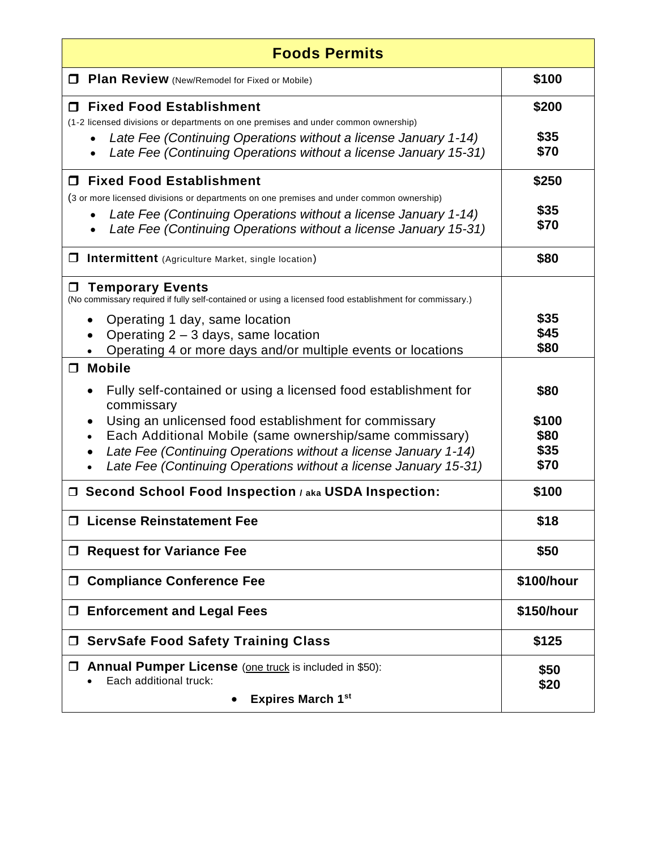| <b>Foods Permits</b>                                                                                                                                                                           |                      |  |
|------------------------------------------------------------------------------------------------------------------------------------------------------------------------------------------------|----------------------|--|
| Plan Review (New/Remodel for Fixed or Mobile)<br>0                                                                                                                                             | \$100                |  |
| <b>Fixed Food Establishment</b><br>П<br>(1-2 licensed divisions or departments on one premises and under common ownership)<br>Late Fee (Continuing Operations without a license January 1-14)  | \$200<br>\$35        |  |
| Late Fee (Continuing Operations without a license January 15-31)                                                                                                                               | \$70                 |  |
| □ Fixed Food Establishment<br>(3 or more licensed divisions or departments on one premises and under common ownership)                                                                         | \$250                |  |
| Late Fee (Continuing Operations without a license January 1-14)<br>Late Fee (Continuing Operations without a license January 15-31)                                                            | \$35<br>\$70         |  |
| <b>Intermittent</b> (Agriculture Market, single location)                                                                                                                                      | \$80                 |  |
| <b>Temporary Events</b><br>(No commissary required if fully self-contained or using a licensed food establishment for commissary.)                                                             |                      |  |
| Operating 1 day, same location<br>Operating $2 - 3$ days, same location<br>Operating 4 or more days and/or multiple events or locations                                                        | \$35<br>\$45<br>\$80 |  |
| <b>Mobile</b><br>$\Box$                                                                                                                                                                        |                      |  |
| Fully self-contained or using a licensed food establishment for<br>commissary                                                                                                                  | \$80                 |  |
| Using an unlicensed food establishment for commissary                                                                                                                                          | \$100<br>\$80        |  |
| Each Additional Mobile (same ownership/same commissary)<br>Late Fee (Continuing Operations without a license January 1-14)<br>Late Fee (Continuing Operations without a license January 15-31) | \$35<br>\$70         |  |
| □ Second School Food Inspection / aka USDA Inspection:                                                                                                                                         | \$100                |  |
| <b>License Reinstatement Fee</b>                                                                                                                                                               | \$18                 |  |
| <b>Request for Variance Fee</b><br>$\Box$                                                                                                                                                      | \$50                 |  |
| <b>Compliance Conference Fee</b><br>$\Box$                                                                                                                                                     | \$100/hour           |  |
| <b>Enforcement and Legal Fees</b><br>$\Box$                                                                                                                                                    | \$150/hour           |  |
| <b>ServSafe Food Safety Training Class</b>                                                                                                                                                     | \$125                |  |
| <b>Annual Pumper License</b> (one truck is included in \$50):<br>$\Box$<br>Each additional truck:                                                                                              | \$50<br>\$20         |  |
| <b>Expires March 1st</b>                                                                                                                                                                       |                      |  |